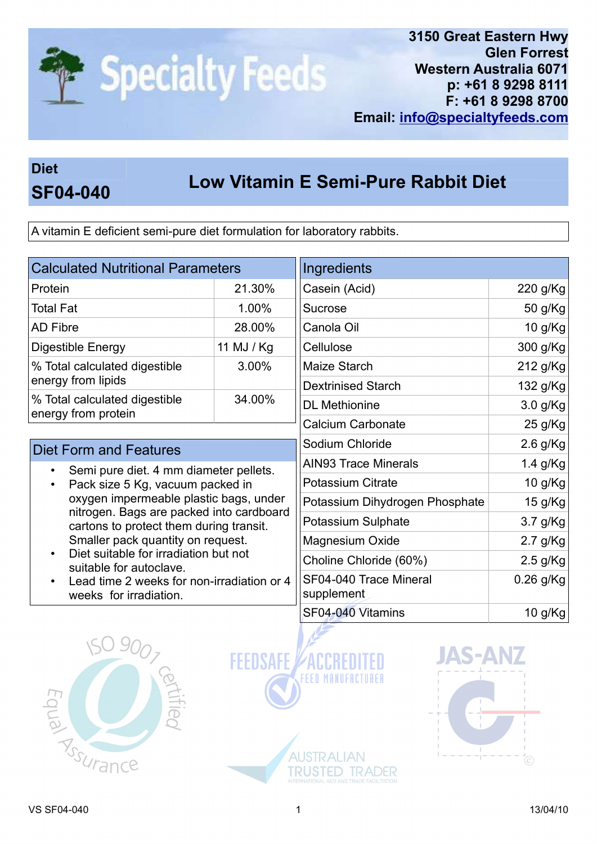

3150 Great Eastern Hwy Glen Forrest Western Australia 6071 p: +61 8 9298 8111 F: +61 8 9298 8700 Email: info@specialtyfeeds.com

## Diet

## Low Vitamin E Semi-Pure Rabbit Diet SF04-040

A vitamin E deficient semi-pure diet formulation for laboratory rabbits.

| <b>Calculated Nutritional Parameters</b>                                                                                                                                                                                                                                                                                                                                                                               |            | Ingredients                          |             |
|------------------------------------------------------------------------------------------------------------------------------------------------------------------------------------------------------------------------------------------------------------------------------------------------------------------------------------------------------------------------------------------------------------------------|------------|--------------------------------------|-------------|
| Protein                                                                                                                                                                                                                                                                                                                                                                                                                | 21.30%     | Casein (Acid)                        | 220 g/Kg    |
| <b>Total Fat</b>                                                                                                                                                                                                                                                                                                                                                                                                       | 1.00%      | <b>Sucrose</b>                       | 50 g/Kg     |
| <b>AD Fibre</b>                                                                                                                                                                                                                                                                                                                                                                                                        | 28.00%     | Canola Oil                           | 10 g/Kg     |
| Digestible Energy                                                                                                                                                                                                                                                                                                                                                                                                      | 11 MJ / Kg | Cellulose                            | 300 g/Kg    |
| % Total calculated digestible<br>energy from lipids                                                                                                                                                                                                                                                                                                                                                                    | 3.00%      | Maize Starch                         | 212 g/Kg    |
|                                                                                                                                                                                                                                                                                                                                                                                                                        |            | <b>Dextrinised Starch</b>            | 132 g/Kg    |
| % Total calculated digestible<br>energy from protein                                                                                                                                                                                                                                                                                                                                                                   | 34.00%     | <b>DL</b> Methionine                 | 3.0 g/Kg    |
|                                                                                                                                                                                                                                                                                                                                                                                                                        |            | <b>Calcium Carbonate</b>             | 25 g/Kg     |
| <b>Diet Form and Features</b>                                                                                                                                                                                                                                                                                                                                                                                          |            | Sodium Chloride                      | $2.6$ g/Kg  |
| Semi pure diet. 4 mm diameter pellets.<br>$\bullet$<br>Pack size 5 Kg, vacuum packed in<br>oxygen impermeable plastic bags, under<br>nitrogen. Bags are packed into cardboard<br>cartons to protect them during transit.<br>Smaller pack quantity on request.<br>Diet suitable for irradiation but not<br>$\bullet$<br>suitable for autoclave.<br>Lead time 2 weeks for non-irradiation or 4<br>weeks for irradiation. |            | <b>AIN93 Trace Minerals</b>          | 1.4 g/Kg    |
|                                                                                                                                                                                                                                                                                                                                                                                                                        |            | <b>Potassium Citrate</b>             | 10 g/Kg     |
|                                                                                                                                                                                                                                                                                                                                                                                                                        |            | Potassium Dihydrogen Phosphate       | 15 g/Kg     |
|                                                                                                                                                                                                                                                                                                                                                                                                                        |            | Potassium Sulphate                   | 3.7 g/Kg    |
|                                                                                                                                                                                                                                                                                                                                                                                                                        |            | Magnesium Oxide                      | $2.7$ g/Kg  |
|                                                                                                                                                                                                                                                                                                                                                                                                                        |            | Choline Chloride (60%)               | $2.5$ g/Kg  |
|                                                                                                                                                                                                                                                                                                                                                                                                                        |            | SF04-040 Trace Mineral<br>supplement | $0.26$ g/Kg |
|                                                                                                                                                                                                                                                                                                                                                                                                                        |            | SF04-040 Vitamins                    | 10 g/Kg     |